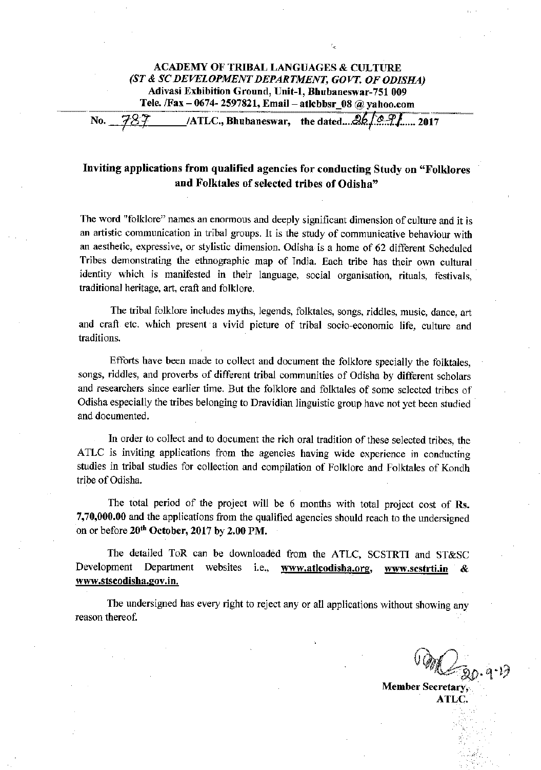### **ACADEMY OF TRIBAL LANGUAGES & CULTURE** (ST & SC DEVELOPMENT DEPARTMENT, GOVT. OF ODISHA) Adivasi Exhibition Ground, Unit-1, Bhubaneswar-751 009 Tele. /Fax - 0674-2597821, Email - atlebbsr 08 @ yahoo.com

 $/ATLC$ , Bhubaneswar, the dated...  $26\sqrt{29}$ , 2017 787 No.

# Inviting applications from qualified agencies for conducting Study on "Folklores and Folktales of selected tribes of Odisha"

The word "folklore" names an enormous and deeply significant dimension of culture and it is an artistic communication in tribal groups. It is the study of communicative behaviour with an aesthetic, expressive, or stylistic dimension. Odisha is a home of 62 different Scheduled Tribes demonstrating the ethnographic map of India. Each tribe has their own cultural identity which is manifested in their language, social organisation, rituals, festivals, traditional heritage, art, craft and folklore.

The tribal folklore includes myths, legends, folktales, songs, riddles, music, dance, art and craft etc. which present a vivid picture of tribal socio-economic life, culture and traditions.

Efforts have been made to collect and document the folklore specially the folktales. songs, riddles, and proverbs of different tribal communities of Odisha by different scholars and researchers since earlier time. But the folklore and folktales of some selected tribes of Odisha especially the tribes belonging to Dravidian linguistic group have not yet been studied and documented.

In order to collect and to document the rich oral tradition of these selected tribes, the ATLC is inviting applications from the agencies having wide experience in conducting studies in tribal studies for collection and compilation of Folklore and Folktales of Kondh tribe of Odisha.

The total period of the project will be 6 months with total project cost of Rs. 7,70,000.00 and the applications from the qualified agencies should reach to the undersigned on or before 20<sup>th</sup> October, 2017 by 2.00 PM.

The detailed ToR can be downloaded from the ATLC, SCSTRTI and ST&SC Development Department websites i.e., www.atlcodisha.org, www.sestrti.in www.stscodisha.gov.in.

The undersigned has every right to reject any or all applications without showing any reason thereof.

**Member Secretary.** ATL C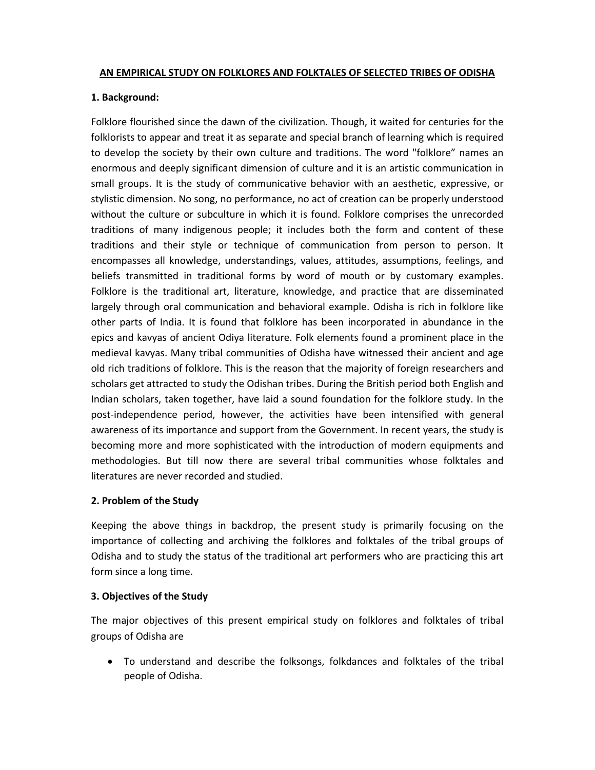#### **AN EMPIRICAL STUDY ON FOLKLORES AND FOLKTALES OF SELECTED TRIBES OF ODISHA**

#### **1. Background:**

Folklore flourished since the dawn of the civilization. Though, it waited for centuries for the folklorists to appear and treat it as separate and special branch of learning which is required to develop the society by their own culture and traditions. The word "folklore" names an enormous and deeply significant dimension of culture and it is an artistic communication in small groups. It is the study of communicative behavior with an aesthetic, expressive, or stylistic dimension. No song, no performance, no act of creation can be properly understood without the culture or subculture in which it is found. Folklore comprises the unrecorded traditions of many indigenous people; it includes both the form and content of these traditions and their style or technique of communication from person to person. It encompasses all knowledge, understandings, values, attitudes, assumptions, feelings, and beliefs transmitted in traditional forms by word of mouth or by customary examples. Folklore is the traditional art, literature, knowledge, and practice that are disseminated largely through oral communication and behavioral example. Odisha is rich in folklore like other parts of India. It is found that folklore has been incorporated in abundance in the epics and kavyas of ancient Odiya literature. Folk elements found a prominent place in the medieval kavyas. Many tribal communities of Odisha have witnessed their ancient and age old rich traditions of folklore. This is the reason that the majority of foreign researchers and scholars get attracted to study the Odishan tribes. During the British period both English and Indian scholars, taken together, have laid a sound foundation for the folklore study. In the post-independence period, however, the activities have been intensified with general awareness of its importance and support from the Government. In recent years, the study is becoming more and more sophisticated with the introduction of modern equipments and methodologies. But till now there are several tribal communities whose folktales and literatures are never recorded and studied.

#### **2. Problem of the Study**

Keeping the above things in backdrop, the present study is primarily focusing on the importance of collecting and archiving the folklores and folktales of the tribal groups of Odisha and to study the status of the traditional art performers who are practicing this art form since a long time.

# **3. Objectives of the Study**

The major objectives of this present empirical study on folklores and folktales of tribal groups of Odisha are

• To understand and describe the folksongs, folkdances and folktales of the tribal people of Odisha.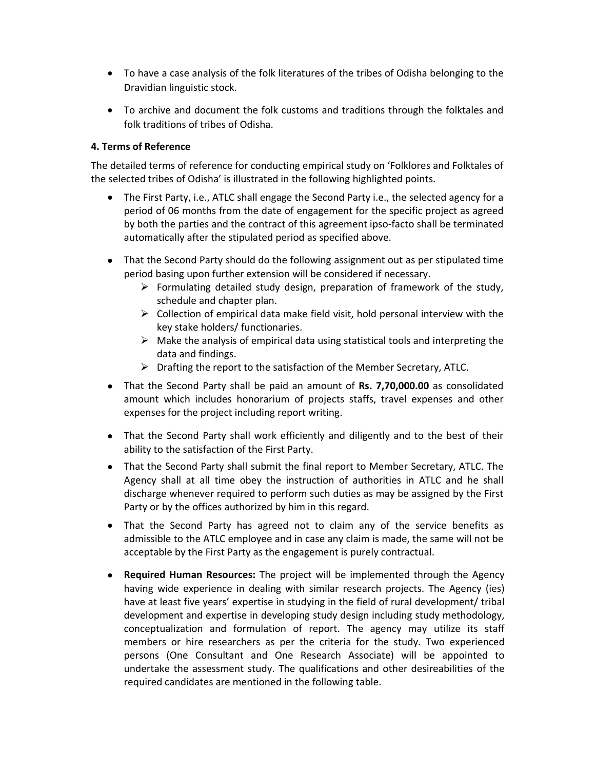- To have a case analysis of the folk literatures of the tribes of Odisha belonging to the Dravidian linguistic stock.
- To archive and document the folk customs and traditions through the folktales and folk traditions of tribes of Odisha.

# **4. Terms of Reference**

The detailed terms of reference for conducting empirical study on 'Folklores and Folktales of the selected tribes of Odisha' is illustrated in the following highlighted points.

- The First Party, i.e., ATLC shall engage the Second Party i.e., the selected agency for a period of 06 months from the date of engagement for the specific project as agreed by both the parties and the contract of this agreement ipso‐facto shall be terminated automatically after the stipulated period as specified above.
- That the Second Party should do the following assignment out as per stipulated time period basing upon further extension will be considered if necessary.
	- $\triangleright$  Formulating detailed study design, preparation of framework of the study, schedule and chapter plan.
	- $\triangleright$  Collection of empirical data make field visit, hold personal interview with the key stake holders/ functionaries.
	- $\triangleright$  Make the analysis of empirical data using statistical tools and interpreting the data and findings.
	- $\triangleright$  Drafting the report to the satisfaction of the Member Secretary, ATLC.
- That the Second Party shall be paid an amount of **Rs. 7,70,000.00** as consolidated amount which includes honorarium of projects staffs, travel expenses and other expenses for the project including report writing.
- That the Second Party shall work efficiently and diligently and to the best of their ability to the satisfaction of the First Party.
- That the Second Party shall submit the final report to Member Secretary, ATLC. The Agency shall at all time obey the instruction of authorities in ATLC and he shall discharge whenever required to perform such duties as may be assigned by the First Party or by the offices authorized by him in this regard.
- That the Second Party has agreed not to claim any of the service benefits as admissible to the ATLC employee and in case any claim is made, the same will not be acceptable by the First Party as the engagement is purely contractual.
- **Required Human Resources:** The project will be implemented through the Agency having wide experience in dealing with similar research projects. The Agency (ies) have at least five years' expertise in studying in the field of rural development/ tribal development and expertise in developing study design including study methodology, conceptualization and formulation of report. The agency may utilize its staff members or hire researchers as per the criteria for the study. Two experienced persons (One Consultant and One Research Associate) will be appointed to undertake the assessment study. The qualifications and other desireabilities of the required candidates are mentioned in the following table.